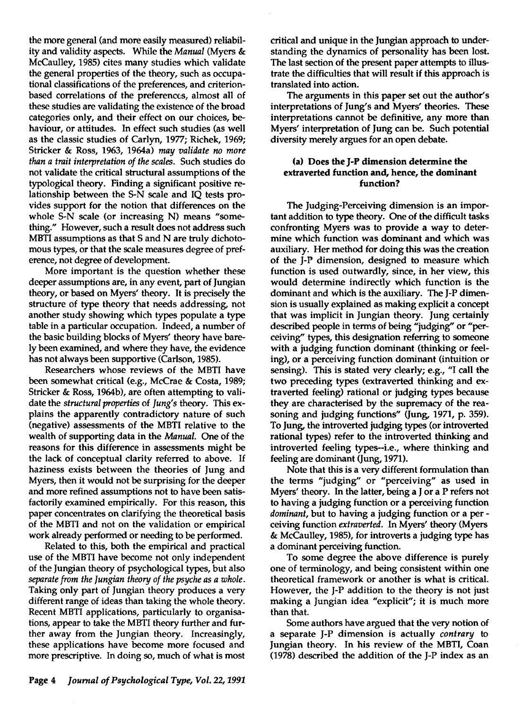the more general (and more easily measured) reliability and validity aspects. While the *Manual* (Myers & McCaulley, 1985) cites many studies which validate the general properties of the theory, such as occupational classifications of the preferences, and criterionbased correlations of the preferences, almost all of these studies are validating the existence of the broad categories only, and their effect on our choices, behaviour, or attitudes. In effect such studies (as well as the classic studies of Carlyn, 1977; Richek, 1969; Stricker & Ross, 1963, 1964a) *may validate no more than a trait interpretation of the scales.* Such studies do not validate the critical structural assumptions of the typological theory. Finding a significant positive relationship between the S-N scale and IQ tests provides support for the notion that differences on the whole S-N scale (or increasing N) means "something." However, such a result does not address such MBTI assumptions as that S and N are truly dichotomous types, or that the scale measures degree of preference, not degree of development.

More important is the question whether these deeper assumptions are, in any event, part of Jungian theory, or based on Myers' theory. It is precisely the structure of type theory that needs addressing, not another study showing which types populate a type table in a particular occupation. Indeed, a number of the basic building blocks of Myers' theory have barely been examined, and where they have, the evidence has not always been supportive (Carlson, 1985).

Researchers whose reviews of the MBTI have been somewhat critical (e.g., McCrae & Costa, 1989; Stricker & Ross, 1964b), are often attempting to validate the *structural properties* of *Jung's* theory. This explains the apparently contradictory nature of such (negative) assessments of the MBTI relative to the wealth of supporting data in the *Manual.* One of the reasons for this difference in assessments might be the lack of conceptual clarity referred to above. If haziness exists between the theories of Jung and Myers, then it would not be surprising for the deeper and more refined assumptions not to have been satisfactorily examined empirically. For this reason, this paper concentrates on clarifying the theoretical basis of the MBTI and not on the validation or empirical work already performed or needing to be performed.

Related to this, both the empirical and practical use of the MBTI have become not only independent of the Jungian theory of psychological types, but also *separate from the Jungian theory of the psyche as a whole.*  Taking only part of Jungian theory produces a very different range of ideas than taking the whole theory. Recent MBTI applications, particularly to organisations, appear to take the MBTI theory further and further away from the Jungian theory. Increasingly, these applications have become more focused and more prescriptive. In doing so, much of what is most critical and unique in the Jungian approach to understanding the dynamics of personality has been lost. The last section of the present paper attempts to illustrate the difficulties that will result if this approach is translated into action.

The arguments in this paper set out the author's interpretations of Jung's and Myers' theories. These interpretations cannot be definitive, any more than Myers' interpretation of Jung can be. Such potential diversity merely argues for an open debate.

# (a) Does the J-p dimension determine the extraverted function and, hence, the dominant function?

The Judging-Perceiving dimension is an important addition to type theory. One of the difficult tasks confronting Myers was to provide a way to determine which function was dominant and which was auxiliary. Her method for doing this was the creation of the J-P dimension, designed to measure which function is used outwardly, since, in her view, this would determine indirectly which function is the dominant and which is the auxiliary. The J-P dimension is usually explained as making explicit a concept that was implicit in Jungian theory. Jung certainly described people in terms of being "judging" or "perceiving" types, this designation referring to someone with a judging function dominant (thinking or feeling), or a perceiving function dominant (intuition or sensing). This is stated very clearly; e.g., "1 call the two preceding types (extraverted thinking and extraverted feeling) rational or judging types because they are characterised by the supremacy of the reasoning and judging functions" (Jung, 1971, p. 359). To Jung, the introverted judging types (or introverted rational types) refer to the introverted thinking and introverted feeling types--i.e., where thinking and feeling are dominant (Jung, 1971).

Note that this is a very different formulation than the terms "judging" or "perceiving" as used in Myers' theory. In the latter, being a J or a P refers not to having a judging function or a perceiving function *dominant,* but to having a judging function or a per ceiving function *extraverted.* In Myers' theory (Myers & McCaulley, 1985), for introverts a judging type has a dominant perceiving function.

To some degree the above difference is purely one of terminology, and being consistent within one theoretical framework or another is what is critical. However, the J-P addition to the theory is not just making a Jungian idea "explicit"; it is much more than that.

Some authors have argued that the very notion of a separate J-p dimension is actually *contrary* to Jungian theory. In his review of the MBTI, Coan (1978) described the addition of the J-p index as an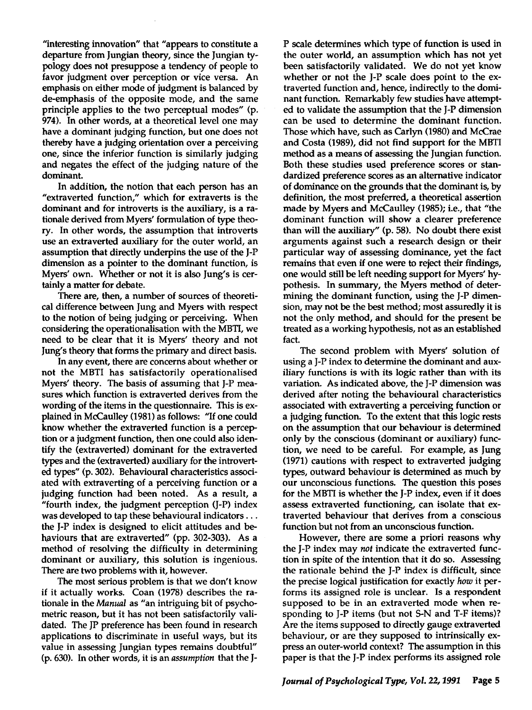"interesting innovation" that "appears to constitute a departure from Jungian theory, since the Jungian typology does not presuppose a tendency of people to favor judgment over perception or vice versa. An emphasis on either mode of judgment is balanced by de-emphasis of the opposite mode, and the same principle applies to the two perceptual modes" (p. 974). In other words, at a theoretical level one may have a dominant judging function, but one does not thereby have a judging orientation over a perceiving one, since the inferior function is similarly judging and negates the effect of the judging nature of the dominant.

In addition, the notion that each person has an "extraverted function," which for extraverts is the dominant and for introverts is the auxiliary, is a rationale derived from Myers' formulation of type theory. In other words, the assumption that introverts use an extraverted auxiliary for the outer world, an assumption that directly underpins the use of the J-p dimension as a pointer to the dominant function, is Myers' own. Whether or not it is also Jung's is certainlya matter for debate.

There are, then, a number of sources of theoretical difference between Jung and Myers with respect to the notion of being judging or perceiving. When considering the operationalisation with the MBTI, we need to be clear that it is Myers' theory and not Jung's theory that forms the primary and direct basis.

In any event, there are concerns about whether or not the MBTI has satisfactorily operationalised Myers' theory. The basis of assuming that J-P measures which function is extraverted derives from the wording of the items in the questionnaire. This is explained in McCaulley (1981) as follows: "If one could know whether the extraverted function is a perception or a judgment function, then one could also identify the (extraverted) dominant for the extraverted types and the (extraverted) auxiliary for the introverted types" (p. 302). Behavioural characteristics associated with extraverting of a perceiving function or a judging function had been noted. As a result, a "fourth index, the judgment perception (J-P) index was developed to tap these behavioural indicators ... the J-p index is designed to elicit attitudes and behaviours that are extraverted" (pp. 302-303). As a method of resolving the difficulty in determining dominant or auxiliary, this solution is ingenious. There are two problems with it, however.

The most serious problem is that we don't know if it actually works. Coan (1978) describes the rationale in the *Manual* as "an intriguing bit of psychometric reason, but it has not been satisfactorily validated. The JP preference has been found in research applications to discriminate in useful ways, but its value in assessing Jungian types remains doubtful" (p. 630). In other words, it is an *assumption* that the J-

P scale determines which type of function is used in the outer world, an assumption which has not yet been satisfactorily validated. We do not yet know whether or not the J-P scale does point to the extraverted function and, hence, indirectly to the dominant function. Remarkably few studies have attempted to validate the assumption that the J-p dimension can be used to determine the dominant function. Those which have, such as Carlyn (1980) and McCrae and Costa (1989), did not find support for the MBTI method as a means of assessing the Jungian function. Both these studies used preference scores or standardized preference scores as an alternative indicator of dominance on the grounds that the dominant is, by definition, the most preferred, a theoretical assertion made by Myers and McCaulley (1985); i.e., that "the dominant function will show a clearer preference than will the auxiliary" (p. 58). No doubt there exist arguments against such a research design or their particular way of assessing dominance, yet the fact remains that even if one were to reject their findings, one would still be left needing support for Myers' hypothesis. In summary, the Myers method of determining the dominant function, using the J-p dimension, may not be the best method; most assuredly it is not the only method, and should for the present be treated as a working hypothesis, not as an established fact.

The second problem with Myers' solution of using a J-p index to determine the dominant and auxiliary functions is with its logic rather than with its variation. As indicated above, the J-P dimension was derived after noting the behavioural characteristics associated with extraverting a perceiving function or a judging function. To the extent that this logic rests on the assumption that our behaviour is determined only by the conscious (dominant or auxiliary) function, we need to be careful. For example, as Jung (1971) cautions with respect to extraverted judging types, outward behaviour is determined as much by our unconscious functions. The question this poses for the MBTI is whether the J-p index, even if it does assess extraverted functioning, can isolate that extraverted behaviour that derives from a conscious function but not from an unconscious function.

However, there are some a priori reasons why the J-p index may *not* indicate the extraverted function in spite of the intention that it do so. Assessing the rationale behind the J-p index is difficult, since the precise logical justification for exactly *how* it performs its assigned role is unclear. Is a respondent supposed to be in an extraverted mode when responding to J-P items (but not S-N and T-F items)? Are the items supposed to directly gauge extraverted behaviour, or are they supposed to intrinsically express an outer-world context? The assumption in this paper is that the J-p index performs its assigned role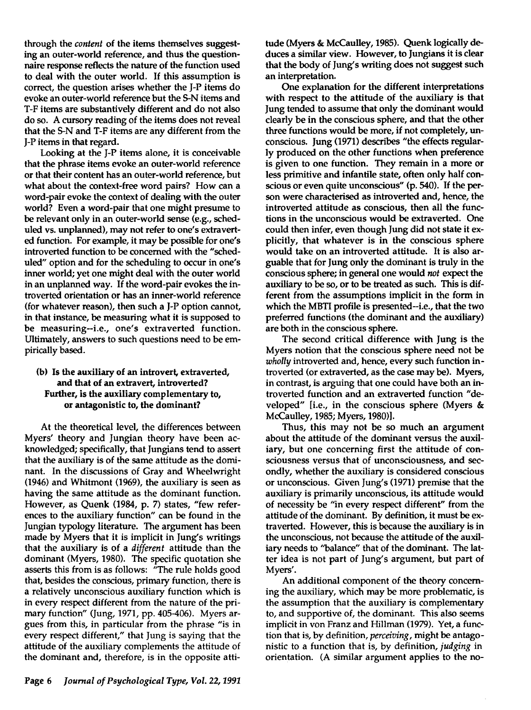through the *content* of the items themselves suggesting an outer-world reference, and thus the questionnaire response reflects the nature of the function used to deal with the outer world. If this assumption is correct, the question arises whether the J-p items do evoke an outer-world reference but the 5-N items and T-F items are substantively different and do not also do so. A cursory reading of the items does not reveal that the 5-N and T-F items are any different from the J-p items in that regard.

Looking at the J-P items alone, it is conceivable that the phrase items evoke an outer-world reference or that their content has an outer-world reference, but what about the context-free word pairs? How can a word-pair evoke the context of dealing with the outer world? Even a word-pair that one might presume to be relevant only in an outer-world sense (e.g., scheduled vs. unplanned), may not refer to one's extraverted function. For example, it may be possible for one's introverted function to be concerned with the "scheduled" option and for the scheduling to occur in one's inner world; yet one might deal with the outer world in an unplanned way. If the word-pair evokes the introverted orientation or has an inner-world reference (for whatever reason), then such a J-p option cannot, in that instance, be measuring what it is supposed to be measuring--i.e., one's extraverted function. Ultimately, answers to such questions need to be empirically based.

### (b) Is the auxiliary of an introvert, extraverted, and that of an extravert, introverted? Further, is the auxiliary complementary to, or antagonistic to, the dominant?

At the theoretical level, the differences between Myers' theory and Jungian theory have been acknowledged; specifically, that Jungians tend to assert that the auxiliary is of the same attitude as the dominant. In the discussions of Gray and Wheelwright (1946) and Whitmont (1969), the auxiliary is seen as having the same attitude as the dominant function. However, as Quenk (1984, p. 7) states, "few references to the auxiliary function" can be found in the Jungian typology literature. The argument has been made by Myers that it is implicit in Jung's writings that the auxiliary is of a *different* attitude than the dominant (Myers, 1980). The specific quotation she asserts this from is as follows: "The rule holds good that, besides the conscious, primary function, there is a relatively unconscious auxiliary function which is in every respect different from the nature of the primary function" (Jung, 1971, pp. 405-406). Myers argues from this, in particular from the phrase "is in every respect different," that Jung is saying that the attitude of the auxiliary complements the attitude of the dominant and, therefore, is in the opposite attitude (Myers & McCaulley, 1985). Quenk logically deduces a similar view. However, to Jungians it is clear that the body of Jung's writing does not suggest such an interpretation.

One explanation for the different interpretations with respect to the attitude of the auxiliary is that Jung tended to assume that only the dominant would clearly be in the conscious sphere, and that the other three functions would be more, if not completely, unconscious. Jung (1971) describes "the effects regularly produced on the other functions when preference is given to one function. They remain in a more or less primitive and infantile state, often only half conscious or even quite unconscious" (p. 540). If the person were characterised as introverted and, hence, the introverted attitude as conscious, then all the functions in the unconscious would be extraverted. One could then infer, even though Jung did not state it explicitly, that whatever is in the conscious sphere would take on an introverted attitude. It is also arguable that for Jung only the dominant is truly in the conscious sphere; in general one would *not* expect the auxiliary to be so, or to be treated as such. This is different from the assumptions implicit in the form in which the MBTI profile is presented-i.e., that the two preferred functions (the dominant and the auxiliary) are both in the conscious sphere.

The second critical difference with Jung is the Myers notion that the conscious sphere need not be *wholly* introverted and, hence, every such function introverted (or extraverted, as the case may be). Myers, in contrast, is arguing that one could have both an introverted function and an extraverted function "developed" [i.e., in the conscious sphere (Myers & McCaulley, 1985; Myers, 1980)].

Thus, this may not be so much an argument about the attitude of the dominant versus the auxiliary, but one concerning first the attitude of consciousness versus that of unconsciousness, and secondly, whether the auxiliary is considered conscious or unconscious. Given Jung's (1971) premise that the auxiliary is primarily unconscious, its attitude would of necessity be "in every respect different" from the attitude of the dominant. By definition, it must be extraverted. However, this is because the auxiliary is in the unconscious, not because the attitude of the auxiliary needs to "balance" that of the dominant. The latter idea is not part of Jung's argument, but part of Myers'.

An additional component of the theory concerning the auxiliary, which may be more problematic, is the assumption that the auxiliary is complementary to, and supportive of, the dominant. This also seems implicit in von Franz and Hillman (1979). Yet, a function that is, by definition, *perceiving,* might be antagonistic to a function that is, by definition, *judging* in orientation. (A similar argument applies to the no-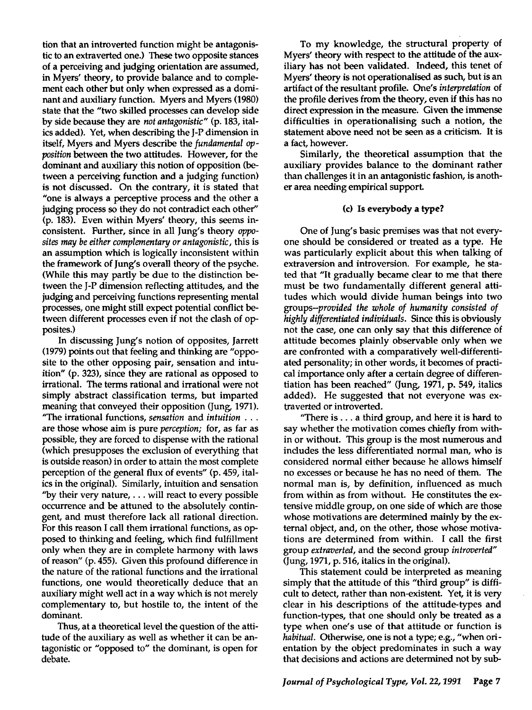tion that an introverted function might be antagonistic to an extraverted one.) These two opposite stances of a perceiving and judging orientation are assumed, in Myers' theory, to provide balance and to complement each other but only when expressed as a dominant and auxiliary function. Myers and Myers (1980) state that the "two skilled processes can develop side by side because they are *not antagonistic"* (p. 183, italics added). Yet, when describing the J-P dimension in itself, Myers and Myers describe the *fundamental opposition* between the two attitudes. However, for the dominant and auxiliary this notion of opposition (between a perceiving function and a judging function) is not discussed. On the contrary, it is stated that "one is always a perceptive process and the other a judging process so they do not contradict each other" (p. 183). Even within Myers' theory, this seems inconsistent. Further, since in all Jung's theory *opposites may be either complementary or antagonistic,* this is an assumption which is logically inconsistent within the framework of Jung's overall theory of the psyche. (While this may partly be due to the distinction between the J-p dimension reflecting attitudes, and the judging and perceiving functions representing mental processes, one might still expect potential conflict between different processes even if not the clash of opposites.)

In discussing Jung's notion of opposites, Jarrett (1979) points out that feeling and thinking are "opposite to the other opposing pair, sensation and intuition" (p. 323), since they are rational as opposed to irrational. The terms rational and irrational were not simply abstract classification terms, but imparted meaning that conveyed their opposition (Jung, 1971). ''The irrational functions, *sensation* and *intuition* ... are those whose aim is pure *perception;* for, as far as possible, they are forced to dispense with the rational (which presupposes the exclusion of everything that is outside reason) in order to attain the most complete perception of the general flux of events" (p.459, italics in the original). Similarly, intuition and sensation "by their very nature,  $\dots$  will react to every possible occurrence and be attuned to the absolutely contingent, and must therefore lack all rational direction. For this reason I call them irrational functions, as opposed to thinking and feeling, which find fulfillment only when they are in complete harmony with laws of reason" (p. 455). Given this profound difference in the nature of the rational functions and the irrational functions, one would theoretically deduce that an auxiliary might well act in a way which is not merely complementary to, but hostile to, the intent of the dominant.

Thus, at a theoretical level the question of the attitude of the auxiliary as well as whether it can be antagonistic or "opposed to" the dominant, is open for debate.

To my knowledge, the structural property of Myers' theory with respect to the attitude of the auxiliary has not been validated. Indeed, this tenet of Myers' theory is not operationalised as such, but is an artifact of the resultant profile. One's *interpretation* of the profile derives from the theory, even if this has no direct expression in the measure. Given the immense difficulties in operationalising such a notion, the statement above need not be seen as a criticism. It is a fact, however.

Similarly, the theoretical assumption that the auxiliary provides balance to the dominant rather than challenges it in an antagonistic fashion, is another area needing empirical support.

### (c) Is everybody a type?

One of Jung's basic premises was that not everyone should be considered or treated as a type. He was particularly explicit about this when talking of extraversion and introversion. For example, he stated that "It gradually became clear to me that there must be two fundamentally different general attitudes which would divide human beings into two *groups-provided the whole of humanity consisted of highly differentiated individuals.* Since this is obviously not the case, one can only say that this difference of attitude becomes plainly observable only when we are confronted with a comparatively well-differentiated personality; in other words, it becomes of practical importance only after a certain degree of differentiation has been reached" (Jung, 1971, p. 549, italics added). He suggested that not everyone was extraverted or introverted.

"There is ... a third group, and here it is hard to say whether the motivation comes chiefly from within or without. This group is the most numerous and includes the less differentiated normal man, who is considered normal either because he allows himself no excesses or because he has no need of them. The normal man is, by definition, influenced as much from within as from without. He constitutes the extensive middle group, on one side of which are those whose motivations are determined mainly by the external object, and, on the other, those whose motivations are determined from within. I call the first group *extraverted,* and the second group *introverted"*  (Jung, 1971, p. 516, italics in the original).

This statement could be interpreted as meaning simply that the attitude of this "third group" is difficult to detect, rather than non-existent. Yet, it is very clear in his descriptions of the attitude-types and function-types, that one should only be treated as a type when one's use of that attitude or function is *habitual.* Otherwise, one is not a type; e.g., "when orientation by the object predominates in such a way that decisions and actions are determined not by sub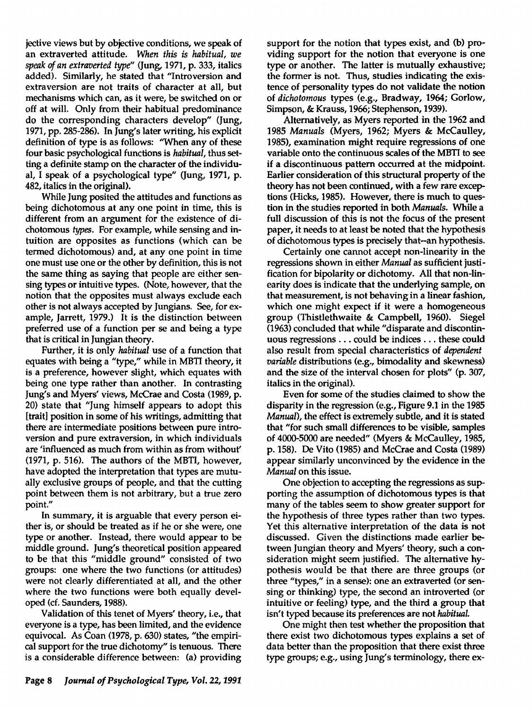jective views but by objective conditions, we speak of an extraverted attitude. *When this is habitual, we speak of an extraverted type"* (Jung, 1971, p. 333, italics added). Similarly, he stated that "Introversion and extraversion are not traits of character at all, but mechanisms which can, as it were, be switched on or off at will. Only from their habitual predominance do the corresponding characters develop" (Jung, 1971, pp. 285-286). In Jung's later writing, his explicit definition of type is as follows: 'When any of these four basic psychological functions is *habitual,* thus setting a definite stamp on the character of the individual, I speak of a psychological type" (Jung, 1971, p. 482, italics in the original).

While Jung posited the attitudes and functions as being dichotomous at anyone point in time, this is different from an argument for the existence of dichotomous *types.* For example, while sensing and intuition are opposites as functions (which can be termed dichotomous) and, at anyone point in time one must use one or the other by definition, this is not the same thing as saying that people are either sensing types or intuitive types. (Note, however, that the notion that the opposites must always exclude each other is not always accepted by Jungians. See, for example, Jarrett, 1979.) It is the distinction between preferred use of a function per se and being a type that is critical in Jungian theory.

Further, it is only *habitual* use of a function that equates with being a "type," while in MBTI theory, it is a preference, however slight, which equates with being one type rather than another. In contrasting Jung's and Myers' views, McCrae and Costa (1989, p. 20) state that "Jung himself appears to adopt this [trait] position in some of his writings, admitting that there are intermediate positions between pure introversion and pure extraversion, in which individuals are 'influenced as much from within as from without' (1971, p. 516). The authors of the MBTI, however, have adopted the interpretation that types are mutually exclusive groups of people, and that the cutting point between them is not arbitrary, but a true zero point."

In summary, it is arguable that every person either is, or should be treated as if he or she were, one type or another. Instead, there would appear to be middle ground. Jung's theoretical position appeared to be that this "middle ground" consisted of two groups: one where the two functions (or attitudes) were not clearly differentiated at all, and the other where the two functions were both equally developed (cf. Saunders, 1988).

Validation of this tenet of Myers' theory, i.e., that everyone is a type, has been limited, and the evidence equivocal. As Coan (1978, p. 630) states, "the empirical support for the true dichotomy" is tenuous. There is a considerable difference between: (a) providing

support for the notion that types exist, and (b) providing support for the notion that everyone is one type or another. The latter is mutually exhaustive; the former is not. Thus, studies indicating the existence of personality types do not validate the notion of *dichotomous* types (e.g., Bradway, 1964; Gorlow, Simpson, & Krauss, 1966; Stephenson, 1939).

Alternatively, as Myers reported in the 1962 and *1985 Manuals* (Myers, 1962; Myers & McCaulley, 1985), examination might require regressions of one variable onto the continuous scales of the MBTI to see if a discontinuous pattern occurred at the midpoint. Earlier consideration of this structural property of the theory has not been continued, with a few rare exceptions (Hicks, 1985). However, there is much to question in the studies reported in both *Manuals.* While a full discussion of this is not the focus of the present paper, it needs to at least be noted that the hypothesis of dichotomous types is precisely that-an hypothesis.

Certainly one cannot accept non-linearity in the regressions shown in either *Manual* as sufficient justification for bipolarity or dichotomy. All that non-linearity does is indicate that the underlying sample, on that measurement, is not behaving in a linear fashion, which one might expect if it were a homogeneous group (Thistlethwaite & Campbell, 1960). Siegel (1963) concluded that while "disparate and discontinuous regressions ... could be indices ... these could also result from special characteristics of *dependent variable* distributions (e.g., bimodality and skewness) and the size of the interval chosen for plots" (p. 307, italics in the original).

Even for some of the studies claimed to show the disparity in the regression (e.g., Figure 9.1 in the 1985 *Manual),* the effect is extremely subtle, and it is stated that "for such small differences to be visible, samples of 4000-5000 are needed" (Myers & McCaulley, 1985, p. 158). De Vito (1985) and McCrae and Costa (1989) appear similarly unconvinced by the evidence in the *Manual* on this issue.

One objection to accepting the regressions as supporting the assumption of dichotomous types is that many of the tables seem to show greater support for the hypothesis of three types rather than two types. Yet this alternative interpretation of the data is not discussed. Given the distinctions made earlier between Jungian theory and Myers' theory, such a consideration might seem justified. The alternative hypothesis would be that there are three groups (or three "types," in a sense): one an extraverted (or sensing or thinking) type, the second an introverted (or intuitive or feeling) type, and the third a group that isn't typed because its preferences are not *habitual.* 

One might then test whether the proposition that there exist two dichotomous types explains a set of data better than the proposition that there exist three type groups; e.g., using Jung's terminology, there ex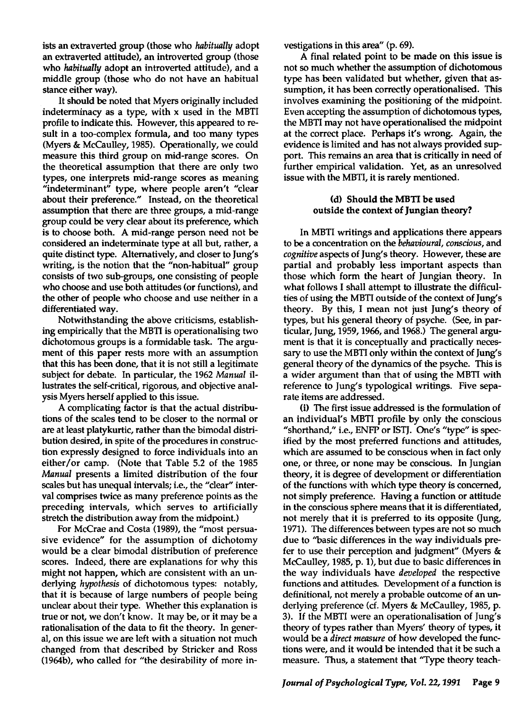ists an extraverted group (those who *habitually* adopt an extraverted attitude), an introverted group (those who *habitually* adopt an introverted attitude), and a middle group (those who do not have an habitual stance either way).

It should be noted that Myers originally included indeterminacy as a type, with x used in the MBTI profile to indicate this. However, this appeared to result in a too-complex formula, and too many types (Myers & McCaulley, 1985). Operationally, we could measure this third group on mid-range scores. On the theoretical assumption that there are only two types, one interprets mid-range scores as meaning "indeterminant" type, where people aren't "clear about their preference." Instead, on the theoretical assumption that there are three groups, a mid-range group could be very clear about its preference, which is to choose both. A mid-range person need not be considered an indeterminate type at all but, rather, a quite distinct type. Alternatively, and closer to Jung's writing, is the notion that the "non-habitual" group consists of two sub-groups, one consisting of people who choose and use both attitudes (or functions), and the other of people who choose and use neither in a differentiated way.

Notwithstanding the above criticisms, establishing empirically that the MBTI is operationalising two dichotomous groups is a formidable task. The argument of this paper rests more with an assumption that this has been done, that it is not still a legitimate subject for debate. In particular, the 1962 Manual illustrates the self-critical, rigorous, and objective analysis Myers herself applied to this issue.

A complicating factor is that the actual distributions of the scales tend to be closer to the normal or are at least platykurtic, rather than the bimodal distribution desired, in spite of the procedures in construction expressly designed to force individuals into an either/or camp. (Note that Table 5.2 of the 1985 *Manual* presents a limited distribution of the four scales but has unequal intervals; i.e., the "clear" interval comprises twice as many preference points as the preceding intervals, which serves to artificially stretch the distribution away from the midpoint.)

For McCrae and Costa (1989), the "most persuasive evidence" for the assumption of dichotomy would be a clear bimodal distribution of preference scores. Indeed, there are explanations for why this might not happen, which are consistent with an underlying *hypothesis* of dichotomous types: notably, that it is because of large numbers of people being unclear about their type. Whether this explanation is true or not, we don't know. It may be, or it may be a rationalisation of the data to fit the theory. In general, on this issue we are left with a situation not much changed from that described by Stricker and Ross (1964b), who called for "the desirability of more investigations in this area" (p. 69).

A final related point to be made on this issue is not so much whether the assumption of dichotomous type has been validated but whether, given that assumption, it has been correctly operationalised.. This involves examining the positioning of the midpoint. Even accepting the assumption of dichotomous types, the MBTI may not have operationalised the midpoint at the correct place. Perhaps it's wrong. Again, the evidence is limited and has not always provided support. This remains an area that is critically in need of further empirical validation. Yet, as an unresolved issue with the MBTI, it is rarely mentioned.

## (d) Should the MDTI be used outside the context of Jungian theory?

In MBTI writings and applications there appears to be a concentration on the *behavioural, conscious,* and *cognitive* aspects of Jung's theory. However, these are partial and probably less important aspects than those which form the heart of Jungian theory. In what follows I shall attempt to illustrate the difficulties of using the MBTI outside of the context of Jung's theory. By this, I mean not just Jung's theory of types, but his general theory of psyche. (See, in particular, Jung, 1959, 1966, and 1968.) The general argument is that it is conceptually and practically necessary to use the MBTI only within the context of Jung's general theory of the dynamics of the psyche. This is a wider argument than that of using the MBTI with reference to Jung's typological writings. Five separate items are addressed..

(i) The first issue addressed is the formulation of an individual's MBTI profile by only the conscious "shorthand," i.e., ENFP or 1ST]. One's "type" is specified by the most preferred functions and attitudes, which are assumed to be conscious when in fact only one, or three, or none may be conscious. In Jungian theory, it is degree of development or differentiation of the functions with which type theory is concerned, not simply preference. Having a function or attitude in the conscious sphere means that it is differentiated, not merely that it is preferred to its opposite (Jung, 1971). The differences between types are not so much due to ''basic differences in the way individuals prefer to use their perception and judgment" (Myers  $\&$ McCaulley, 1985, p. 1), but due to basic differences in the way individuals have *developed* the respective functions and attitudes. Development of a function is definitional, not merely a probable outcome of an underlying preference (cf. Myers & McCaulley, 1985, p. 3). If the MBTI were an operationalisation of Jung's theory of types rather than Myers' theory of types, it would be a *direct measure* of how developed the functions were, and it would be intended that it be such a measure. Thus, a statement that ''Type theory teach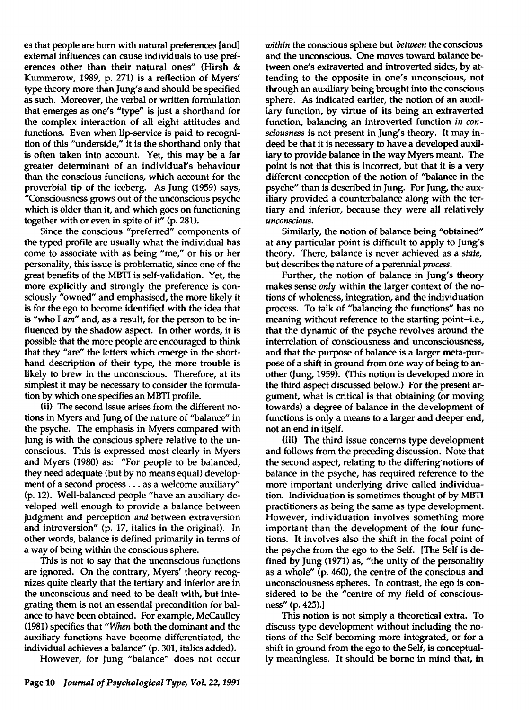es that people are born with natural preferences [and] external influences can cause individuals to use preferences other than their natural ones" (Hirsh & Kummerow, 1989, p. 271) is a reflection of Myers' type theory more than Jung's and should be specified as such. Moreover, the verbal or written formulation that emerges as one's "type" is just a shorthand for the complex interaction of all eight attitudes and functions. Even when lip-service is paid to recognition of this "underside," it is the shorthand only that is often taken into account. Yet, this may be a far greater determinant of an individual's behaviour than the conscious functions, which account for the proverbial tip of the iceberg. As Jung (1959) says, "Consciousness grows out of the unconscious psyche which is older than it, and which goes on functioning together with or even in spite of it" (p. 281).

Since the conscious "preferred" components of the typed profile are usually what the individual has come to associate with as being "me," or his or her personality, this issue is problematic, since one of the great benefits of the MBTI is self-validation. Yet, the more explicitly and strongly the preference is consciously "owned" and emphasised, the more likely it is for the ego to become identified with the idea that is "who I *am"* and, as a result, for the person to be influenced by the shadow aspect. In other words, it is possible that the more people are encouraged to think that they "are" the letters which emerge in the shorthand description of their type, the more trouble is likely to brew in the unconscious. Therefore, at its simplest it may be necessary to consider the formulation by which one specifies an MBTI profile.

(ii) The second issue arises from the different notions in Myers and Jung of the nature of "balance" in the psyche. The emphasis in Myers compared with Jung is with the conscious sphere relative to the unconscious. This is expressed most clearly in Myers and Myers (1980) as: "For people to be balanced, they need adequate (but by no means equal) development of a second process ... as a welcome auxiliary" (p.12). Well-balanced people "have an auxiliary developed well enough to provide a balance between judgment and perception *and* between extraversion and introversion" (p. 17, italics in the original). In other words, balance is defined primarily in terms of a way of being within the conscious sphere.

This is not to say that the unconscious functions are ignored. On the contrary, Myers' theory recognizes quite clearly that the tertiary and inferior are in the unconscious and need to be dealt with, but integrating them is not an essential precondition for balance to have been obtained. For example, McCaulley (1981) specifies that *"When* both the dominant and the auxiliary functions have become differentiated, the individual achieves a balance" (p. 301, italics added).

However, for Jung "balance" does not occur

*within* the conscious sphere but *between* the conscious and the unconscious. One moves toward balance between one's extraverted and introverted sides, by attending to the opposite in one's unconscious, not through an auxiliary being brought into the conscious sphere. As indicated earlier, the notion of an auxiliary function, by virtue of its being an extraverted function, balancing an introverted function *in consciousness* is not present in jung's theory. It may indeed be that it is necessary to have a developed auxiliary to provide balance in the way Myers meant. The point is not that this is incorrect, but that it is a very different conception of the notion of "balance in the psyche" than is described in Jung. For Jung, the auxiliary provided a counterbalance along with the tertiary and inferior, because they were all relatively *unconscious.* 

Similarly, the notion of balance being "obtained" at any particular point is difficult to apply to Jung's theory. There, balance is never achieved as a *state,*  but describes the nature of a perennial *process.* 

Further, the notion of balance in Jung's theory makes sense *only* within the larger context of the notions of wholeness, integration, and the individuation process. To talk of "balancing the functions" has no meaning without reference to the starting point-i.e., that the dynamic of the psyche revolves around the interrelation of consciousness and unconsciousness, and that the purpose of balance is a larger meta-purpose of a shift in ground from one way of being to another (Jung, 1959). (This notion is developed more in the third aspect discussed below.) For the present argument, what is critical is that obtaining (or moving towards) a degree of balance in the development of functions is only a means to a larger and deeper end, not an end in itself.

(iii) The third issue concerns type development and follows from the preceding discussion. Note that the second aspect, relating to the differing'notions of balance in the psyche, has required reference to the more important underlying drive called individuation. Individuation is sometimes thought of by MBTI practitioners as being the same as type development. However, individuation involves something more important than the development of the four functions. It involves also the shift in the focal point of the psyche from the ego to the Self. [The Self is defined by Jung (1971) as, "the unity of the personality as a whole" (p. 460), the centre of the conscious and unconsciousness spheres. In contrast, the ego is considered to be the "centre of my field of consciousness" (p. 425).]

This notion is not simply a theoretical extra. To discuss type development without including the notions of the Self becoming more integrated, or for a shift in ground from the ego to the Self, is conceptually meaningless. It should be borne in mind that, in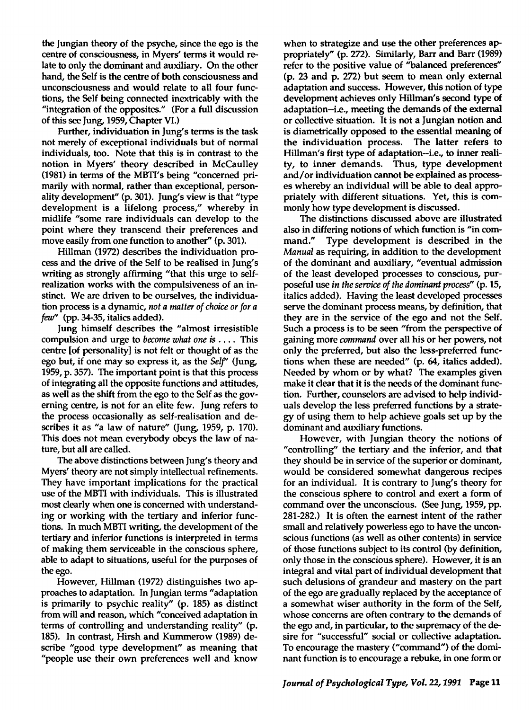the Jungian theory of the psyche, since the ego is the centre of consciousness, in Myers' terms it would relate to only the dominant and auxiliary. On the other hand, the Self is the centre of both consciousness and unconsciousness and would relate to all four functions, the Self being connected inextricably with the "integration of the opposites." (For a full discussion of this see Jung, 1959, Chapter VI.)

Further, individuation in Jung's terms is the task not merely of exceptional individuals but of normal individuals, too. Note that this is in contrast to the notion in Myers' theory described in McCaulley (1981) in terms of the MBTI's being "concerned primarily with normal, rather than exceptional, personality development" (p. 301). Jung's view is that "type development is a lifelong process," whereby in midlife "some rare individuals can develop to the point where they transcend their preferences and move easily from one function to another" (p. 301).

Hillman (1972) describes the individuation process and the drive of the Self to be realised in Jung's writing as strongly affirming "that this urge to selfrealization works with the compulsiveness of an instinct. We are driven to be ourselves, the individuation process is a dynamic, *not a matter of choice or for a few"* (pp. 34-35, italics added).

Jung himself describes the "almost irresistible compulsion and urge to *become what one* is . . .. This centre [of personality] is not felt or thought of as the ego but, if one may so express it, as the *Self'* (Jung, 1959, p. 357). The important point is that this process of integrating all the opposite functions and attitudes, as well as the shift from the ego to the Self as the governing centre, is not for an elite few. Jung refers to the process occasionally as self-realisation and describes it as "a law of nature" (Jung, 1959, p. 170). This does not mean everybody obeys the law of nature, but all are called.

The above distinctions between Jung's theory and Myers' theory are not simply intellectual refinements. They have important implications for the practical use of the MBTI with individuals. This is illustrated most clearly when one is concerned with understanding or working with the tertiary and inferior functions. In much MBTI writing, the development of the tertiary and inferior functions is interpreted in terms of making them serviceable in the conscious sphere, able to adapt to situations, useful for the purposes of the ego.

However, Hillman (1972) distinguishes two approaches to adaptation. In Jungian terms "adaptation is primarily to psychic reality" (p. 185) as distinct from will and reason, which "conceived adaptation in terms of controlling and understanding reality" (p. 185). In contrast, Hirsh and Kummerow (1989) describe "good type development" as meaning that "people use their own preferences well and know when to strategize and use the other preferences appropriately" (p. 272). Similarly, Barr and Barr (1989) refer to the positive value of "balanced preferences" (p. 23 and p. 272) but seem to mean only external adaptation and success. However, this notion of type development achieves only Hillman's second type of adaptation-i.e., meeting the demands of the external or collective situation. It is not a Jungian notion and is diametrically opposed to the essential meaning of the individuation process. The latter refers to Hillman's first type of adaptation-i.e., to inner reality, to inner demands. Thus, type development and/or individuation cannot be explained as processes whereby an individual will be able to deal appropriately with different situations. Yet, this is commonly how type development is discussed.

The distinctions discussed above are illustrated also in differing notions of which function is "in command." Type development is described in the *Manual* as requiring, in addition to the development of the dominant and auxiliary, "eventual admission of the least developed processes to conscious, purposeful use *in the service of the dominant process"* (p. 15, italics added). Having the least developed processes serve the dominant process means, by definition, that they are in the service of the ego and not the Self. Such a process is to be seen "from the perspective of gaining more *command* over all his or her powers, not only the preferred, but also the less-preferred functions when these are needed" (p. 64, italics added). Needed by whom or by what? The examples given make it clear that it is the needs of the dominant function. Further, counselors are advised to help individuals develop the less preferred functions by a strategy of usipg them to help achieve goals set up by the dominant and auxiliary functions.

However, with Jungian theory the notions of "controlling" the tertiary and the inferior, and that they should be in service of the superior or dominant, would be considered somewhat dangerous recipes for an individual. It is contrary to Jung's theory for the conscious sphere to control and exert a form of command over the unconscious. (See Jung, 1959, pp. 281-282.) It is often the earnest intent of the rather small and relatively powerless ego to have the unconscious functions (as well as other contents) in service of those functions subject to its control (by definition, only those in the conscious sphere). However, it is an integral and vital part of individual development that such delusions of grandeur and mastery on the part of the ego are gradually replaced by the acceptance of a somewhat wiser authority in the form of the Self, whose concerns are often contrary to the demands of the ego and, in particular, to the supremacy of the desire for "successful" social or collective adaptation. To encourage the mastery ("command") of the dominant function is to encourage a rebuke, in one form or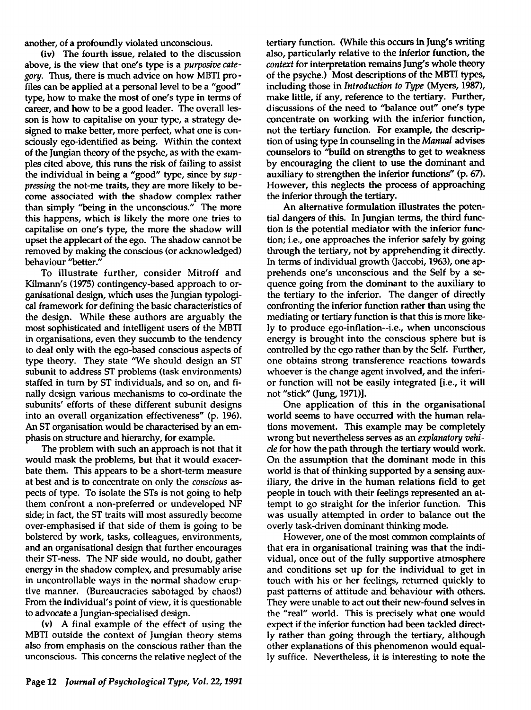another, of a profoundly violated unconscious.

(iv) The fourth issue, related to the discussion above, is the view that one's type is a *purposive category.* Thus, there is much advice on how MBTI profiles can be applied at a personal level to be a "good" type, how to make the most of one's type in terms of career, and how to be a good leader. The overall lesson is how to capitalise on your type, a strategy designed to make better, more perfect, what one is consciously ego-identified as being. Within the context of the Jungian theory of the psyche, as with the examples cited above, this runs the risk of failing to assist the individual in being a "good" type, since by *suppressing* the not-me traits, they are more likely to become associated with the shadow complex rather than simply "being in the unconscious." The more this happens, which is likely the more one tries to capitalise on one's type, the more the shadow will upset the applecart of the ego. The shadow cannot be removed by making the conscious (or acknowledged) behaviour "better."

To illustrate further, consider Mitroff and Kilmann's (1975) contingency-based approach to organisational design, which uses the Jungian typological framework for defining the basic characteristics of the design. While these authors are arguably the most sophisticated and intelligent users of the MBTI in organisations, even they succumb to the tendency to deal only with the ego-based conscious aspects of type theory. They state 'We should design an ST subunit to address ST problems (task environments) staffed in tum by ST individuals, and so on, and finally design various mechanisms to co-ordinate the subunits' efforts of these different subunit designs into an overall organization effectiveness" (p. 196). An ST organisation would be characterised by an emphasis on structure and hierarchy, for example.

The problem with such an approach is not that it would mask the problems, but that it would exacerbate them. This appears to be a short-term measure at best and is to concentrate on only the *conscious* aspects of type. To isolate the STs is not going to help them confront a non-preferred or undeveloped NF side; in fact, the ST traits will most assuredly become over-emphasised if that side of them is going to be bolstered by work, tasks, colleagues, environments, and an organisational design that further encourages their ST -ness. The NF side would, no doubt, gather energy in the shadow complex, and presumably arise in uncontrollable ways in the normal shadow eruptive manner. (Bureaucracies sabotaged by chaos!) From the individual's point of view, it is questionable to advocate a Jungian-specialised design.

(v) A final example of the effect of using the MBTI outside the context of Jungian theory stems also from emphasis on the conscious rather than the unconscious. This concerns the relative neglect of the

tertiary function. (While this occurs in Jung's writing also, particularly relative to the inferior function, the *context* for interpretation remains Jung's whole theory of the psyche.) Most descriptions of the MBTI types, including those in *Introduction* to *Type* (Myers, 1987), make little, if any, reference to the tertiary. Further, discussions of the need to "balance out" one's type concentrate on working with the inferior function, not the tertiary function. For example, the description of using type in counseling in the *Manual* advises counselors to "build on strengths to get to weakness by encouraging the client to use the dominant and auxiliary to strengthen the inferior functions" (p. 67). However, this neglects the process of approaching the inferior through the tertiary.

An alternative formulation illustrates the potential dangers of this. In Jungian terms, the third function is the potential mediator with the inferior function; i.e., one approaches the inferior safely by going through the tertiary, not by apprehending it directly. In terms of individual growth (Jaccobi, 1963), one apprehends one's unconscious and the Self by a sequence going from the dominant to the auxiliary to the tertiary to the inferior. The danger of directly confronting the inferior function rather than using the mediating or tertiary function is that this is more likely to produce ego-inflation--i.e., when unconscious energy is brought into the conscious sphere but is controlled by the ego rather than by the Self. Further, one obtains strong transference reactions towards whoever is the change agent involved, and the inferior function will not be easily integrated [i.e., it will not "stick" (Jung, 1971)].

One application of this in the organisational world seems to have occurred with the human relations movement. This example may be completely wrong but nevertheless serves as an *explanatory vehicle* for how the path through the tertiary would work. On the assumption that the dominant mode in this world is that of thinking supported by a sensing auxiliary, the drive in the human relations field to get people in touch with their feelings represented an attempt to go straight for the inferior function. This was usually attempted in order to balance out the overly task-driven dominant thinking mode.

However, one of the most common complaints of that era in organisational training was that the individual, once out of the fully supportive atmosphere and conditions set up for the individual to get in touch with his or her feelings, returned quickly to past patterns of attitude and behaviour with others. They were unable to act out their new-found selves in the "real" world. This is precisely what one would expect if the inferior function had been tackled directly rather than going through the tertiary, although other explanations of this phenomenon would equally suffice. Nevertheless, it is interesting to note the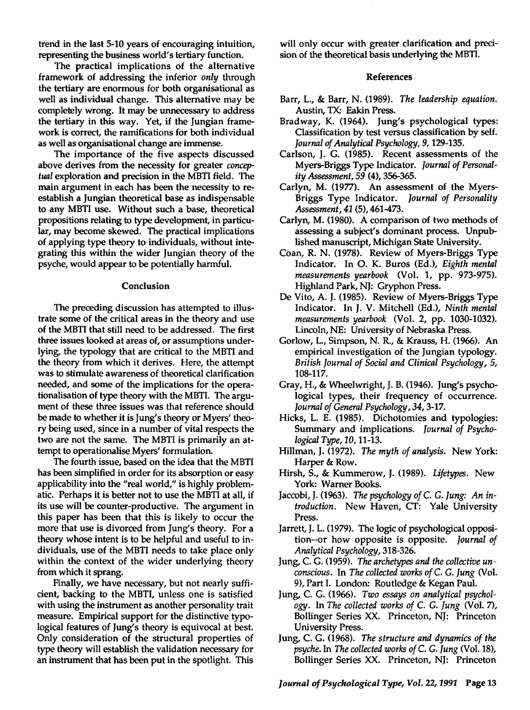trend in the last 5-10 years of encouraging intuition, representing the business world's tertiary function.

The practical implications of the alternative framework of addressing the inferior *only* through the tertiary are enormous for both organisational as well as individual change. This alternative may be completely wrong. It may be unnecessary to address the tertiary in this way. Yet, if the Jungian framework is correct, the ramifications for both individual as well as organisational change are immense.

The importance of the five aspects discussed above derives from the necessity for greater *conceptual* exploration and precision in the MBTI field. The main argument in each has been the necessity to reestablish a Jungian theoretical base as indispensable to any MBTI use. Without such a base, theoretical propositions relating to type development, in particular, may become skewed. The practical implications of applying type theory to individuals, without integrating this within the wider Jungian theory of the psyche, would appear to be potentially harmful.

#### Conclusion

The preceding discussion has attempted to illustrate some of the critical areas in the theory and use of the MBTI that still need to be addressed. The first three issues looked at areas of, or assumptions underlying, the typology that are critical to the MBTI and the theory from which it derives. Here, the attempt was to stimulate awareness of theoretical clarification needed, and some of the implications for the operationalisation of type theory with the MBTI. The argument of these three issues was that reference should be made to whether it is Jung's theory or Myers' theory being used, since in a number of vital respects the two are not the same. The MBTI is primarily an attempt to operationalise Myers' formulation.

The fourth issue, based on the idea that the MBTI has been simplified in order for its absorption or easy applicability into the "real world," is highly problematic. Perhaps it is better not to use the MBTI at all, if its use will be counter-productive. The argument in this paper has been that this is likely to occur the more that use is divorced from Jung's theory. For a theory whose intent is to be helpful and useful to individuals, use of the MBTI needs to take place only within the context of the wider underlying theory from which it sprang.

Finally, we have necessary, but not nearly sufficient, backing to the MBTI, unless one is satisfied with using the instrument as another personality trait measure. Empirical support for the distinctive typological features of Jung's theory is equivocal at best. Only consideration of the structural properties of type theory will establish the validation necessary for an instrument that has been put in the spotlight. This

will only occur with greater clarification and precision of the theoretical basis underlying the MBTI.

### References

- Barr, L., & Barr, N. (1989). *The leadership equation.*  Austin, TX: Eakin Press.
- Bradway, K. (1964). Jung's psychological types: Classification by test versus classification by self. *Journal of Analytical Psychology,* 9, 129-135.
- Carlson, J. G. (1985). Recent assessments of the Myers-Briggs Type Indicator. *Journal of Personal*ity *Assessment,* 59 (4), 356-365.
- Carlyn, M. (1977). An assessment of the Myers-Briggs Type Indicator. *Journal of Personality Assessment,* 41 (5),461-473.
- Carlyn, M. (1980). A comparison of two methods of assessing a subject's dominant process. Unpublished manuscript, Michigan State University.
- Coan, R. N. (1978). Review of Myers-Briggs Type Indicator. In O. K. Buros (Ed.), *Eighth mental measurements yearbook* (Vol. 1, pp. 973-975). Highland Park, NJ: Gryphon Press.
- De Vito, A. J. (1985). Review of Myers-Briggs Type Indicator. In J. V. Mitchell (Ed.), *Ninth mental measurements yearbook* (Vol. 2, pp. 1030-1032). Lincoln, NE: University of Nebraska Press.
- Gorlow, L., Simpson, N. R., & Krauss, H. (1966). An empirical investigation of the Jungian typology. *British Journal of Social and Clinical Psychology, 5,*  108-117.
- Gray, H., & Wheelwright, J. B. (1946). Jung's psychological types, their frequency of occurrence. *Journal of General Psychology,* 34, 3-17.
- Hicks, L. E. (1985). Dichotomies and typologies: Summary and implications. *Journal of Psychological Type,* 10, 11-13.
- Hillman, J. (1972). *The myth of analysis.* New York: Harper & Row.
- Hirsh, S., & Kummerow, J. (1989). *Lifetypes.* New York: Warner Books.
- Jaccobi, J. (1963). *The psychology of* C. G. *Jung: An introduction.* New Haven, CT: Yale University Press.
- Jarrett, J. L. (1979). The logic of psychological opposition--or how opposite is opposite. *Journal of Analytical Psychology, 318-326.*
- Jung, C. G. (1959). The archetypes and the collective un*conscious.* In *The collected works of* C. G. *Jung* (Vol. 9), Part I. London: Routledge & Kegan Paul.
- Jung, c. G. (1966). *Two essays on analytical psychology.* In *The collected works of* C. G. *Jung* (Vol. 7), Bollinger Series XX. Princeton, NJ: Princeton University Press.
- Jung, c. G. (1968). *The structure and dynamics of the psyche.* In *The collected works of* C. G. *Jung* (Vol. 18), Bollinger Series XX. Princeton, NJ: Princeton

*Journal of Psychological Type, Vol.* 22, 1991 Page 13